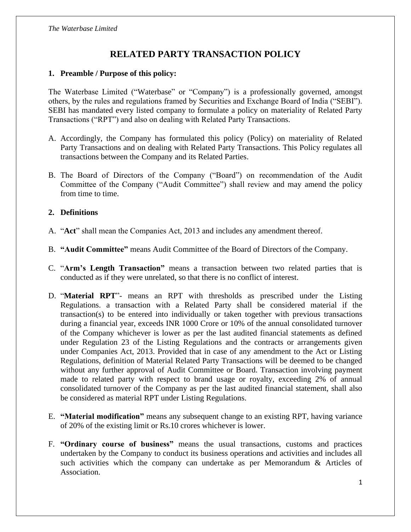# **RELATED PARTY TRANSACTION POLICY**

#### **1. Preamble / Purpose of this policy:**

The Waterbase Limited ("Waterbase" or "Company") is a professionally governed, amongst others, by the rules and regulations framed by Securities and Exchange Board of India ("SEBI"). SEBI has mandated every listed company to formulate a policy on materiality of Related Party Transactions ("RPT") and also on dealing with Related Party Transactions.

- A. Accordingly, the Company has formulated this policy (Policy) on materiality of Related Party Transactions and on dealing with Related Party Transactions. This Policy regulates all transactions between the Company and its Related Parties.
- B. The Board of Directors of the Company ("Board") on recommendation of the Audit Committee of the Company ("Audit Committee") shall review and may amend the policy from time to time.

#### **2. Definitions**

- A. "**Act**" shall mean the Companies Act, 2013 and includes any amendment thereof.
- B. **"Audit Committee"** means Audit Committee of the Board of Directors of the Company.
- C. "**Arm's Length Transaction"** means a transaction between two related parties that is conducted as if they were unrelated, so that there is no conflict of interest.
- D. "**Material RPT**"- means an RPT with thresholds as prescribed under the Listing Regulations. a transaction with a Related Party shall be considered material if the transaction(s) to be entered into individually or taken together with previous transactions during a financial year, exceeds INR 1000 Crore or 10% of the annual consolidated turnover of the Company whichever is lower as per the last audited financial statements as defined under Regulation 23 of the Listing Regulations and the contracts or arrangements given under Companies Act, 2013. Provided that in case of any amendment to the Act or Listing Regulations, definition of Material Related Party Transactions will be deemed to be changed without any further approval of Audit Committee or Board. Transaction involving payment made to related party with respect to brand usage or royalty, exceeding 2% of annual consolidated turnover of the Company as per the last audited financial statement, shall also be considered as material RPT under Listing Regulations.
- E. **"Material modification"** means any subsequent change to an existing RPT, having variance of 20% of the existing limit or Rs.10 crores whichever is lower.
- F. **"Ordinary course of business"** means the usual transactions, customs and practices undertaken by the Company to conduct its business operations and activities and includes all such activities which the company can undertake as per Memorandum & Articles of Association.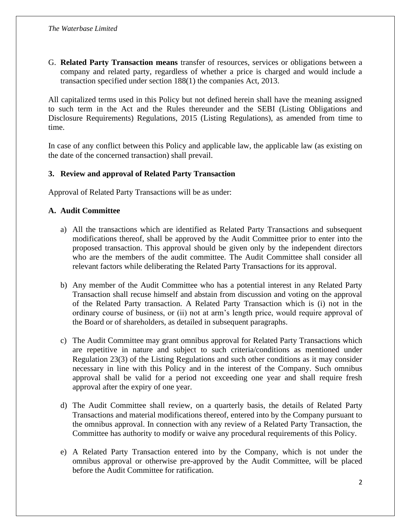G. **Related Party Transaction means** transfer of resources, services or obligations between a company and related party, regardless of whether a price is charged and would include a transaction specified under section 188(1) the companies Act, 2013.

All capitalized terms used in this Policy but not defined herein shall have the meaning assigned to such term in the Act and the Rules thereunder and the SEBI (Listing Obligations and Disclosure Requirements) Regulations, 2015 (Listing Regulations), as amended from time to time.

In case of any conflict between this Policy and applicable law, the applicable law (as existing on the date of the concerned transaction) shall prevail.

## **3. Review and approval of Related Party Transaction**

Approval of Related Party Transactions will be as under:

## **A. Audit Committee**

- a) All the transactions which are identified as Related Party Transactions and subsequent modifications thereof, shall be approved by the Audit Committee prior to enter into the proposed transaction. This approval should be given only by the independent directors who are the members of the audit committee. The Audit Committee shall consider all relevant factors while deliberating the Related Party Transactions for its approval.
- b) Any member of the Audit Committee who has a potential interest in any Related Party Transaction shall recuse himself and abstain from discussion and voting on the approval of the Related Party transaction. A Related Party Transaction which is (i) not in the ordinary course of business, or (ii) not at arm's length price, would require approval of the Board or of shareholders, as detailed in subsequent paragraphs.
- c) The Audit Committee may grant omnibus approval for Related Party Transactions which are repetitive in nature and subject to such criteria/conditions as mentioned under Regulation 23(3) of the Listing Regulations and such other conditions as it may consider necessary in line with this Policy and in the interest of the Company. Such omnibus approval shall be valid for a period not exceeding one year and shall require fresh approval after the expiry of one year.
- d) The Audit Committee shall review, on a quarterly basis, the details of Related Party Transactions and material modifications thereof, entered into by the Company pursuant to the omnibus approval. In connection with any review of a Related Party Transaction, the Committee has authority to modify or waive any procedural requirements of this Policy.
- e) A Related Party Transaction entered into by the Company, which is not under the omnibus approval or otherwise pre-approved by the Audit Committee, will be placed before the Audit Committee for ratification.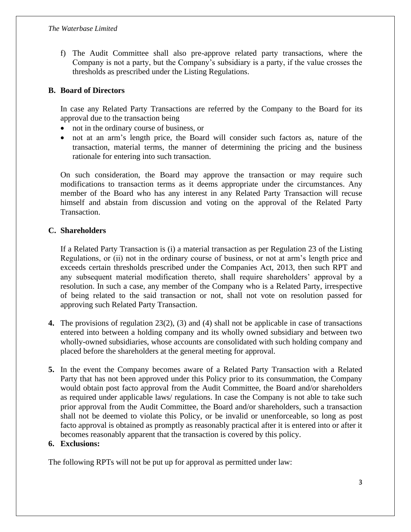f) The Audit Committee shall also pre-approve related party transactions, where the Company is not a party, but the Company's subsidiary is a party, if the value crosses the thresholds as prescribed under the Listing Regulations.

#### **B. Board of Directors**

In case any Related Party Transactions are referred by the Company to the Board for its approval due to the transaction being

- not in the ordinary course of business, or
- not at an arm's length price, the Board will consider such factors as, nature of the transaction, material terms, the manner of determining the pricing and the business rationale for entering into such transaction.

On such consideration, the Board may approve the transaction or may require such modifications to transaction terms as it deems appropriate under the circumstances. Any member of the Board who has any interest in any Related Party Transaction will recuse himself and abstain from discussion and voting on the approval of the Related Party Transaction.

#### **C. Shareholders**

If a Related Party Transaction is (i) a material transaction as per Regulation 23 of the Listing Regulations, or (ii) not in the ordinary course of business, or not at arm's length price and exceeds certain thresholds prescribed under the Companies Act, 2013, then such RPT and any subsequent material modification thereto, shall require shareholders' approval by a resolution. In such a case, any member of the Company who is a Related Party, irrespective of being related to the said transaction or not, shall not vote on resolution passed for approving such Related Party Transaction.

- **4.** The provisions of regulation 23(2), (3) and (4) shall not be applicable in case of transactions entered into between a holding company and its wholly owned subsidiary and between two wholly-owned subsidiaries, whose accounts are consolidated with such holding company and placed before the shareholders at the general meeting for approval.
- **5.** In the event the Company becomes aware of a Related Party Transaction with a Related Party that has not been approved under this Policy prior to its consummation, the Company would obtain post facto approval from the Audit Committee, the Board and/or shareholders as required under applicable laws/ regulations. In case the Company is not able to take such prior approval from the Audit Committee, the Board and/or shareholders, such a transaction shall not be deemed to violate this Policy, or be invalid or unenforceable, so long as post facto approval is obtained as promptly as reasonably practical after it is entered into or after it becomes reasonably apparent that the transaction is covered by this policy.

#### **6. Exclusions:**

The following RPTs will not be put up for approval as permitted under law: